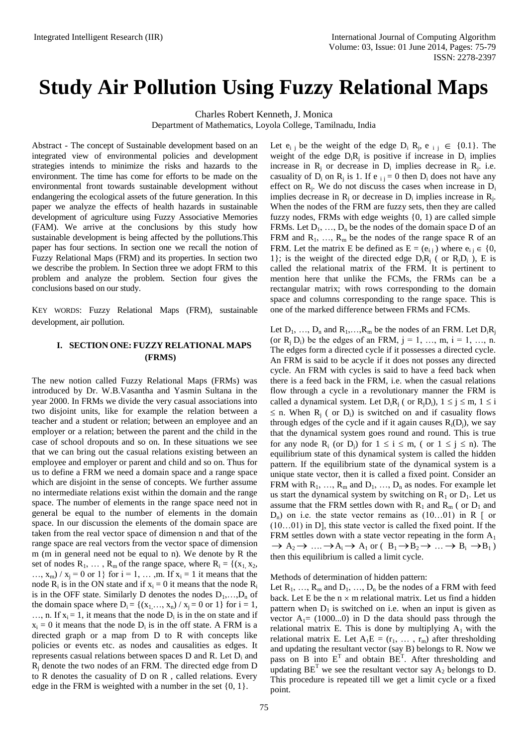# **Study Air Pollution Using Fuzzy Relational Maps**

Charles Robert Kenneth, J. Monica

Department of Mathematics, Loyola College, Tamilnadu, India

Abstract - The concept of Sustainable development based on an integrated view of environmental policies and development strategies intends to minimize the risks and hazards to the environment. The time has come for efforts to be made on the environmental front towards sustainable development without endangering the ecological assets of the future generation. In this paper we analyze the effects of health hazards in sustainable development of agriculture using Fuzzy Associative Memories (FAM). We arrive at the conclusions by this study how sustainable development is being affected by the pollutions.This paper has four sections. In section one we recall the notion of Fuzzy Relational Maps (FRM) and its properties. In section two we describe the problem. In Section three we adopt FRM to this problem and analyze the problem. Section four gives the conclusions based on our study.

KEY WORDS: Fuzzy Relational Maps (FRM), sustainable development, air pollution.

## **I. SECTION ONE: FUZZY RELATIONAL MAPS (FRMS)**

The new notion called Fuzzy Relational Maps (FRMs) was introduced by Dr. W.B.Vasantha and Yasmin Sultana in the year 2000. In FRMs we divide the very casual associations into two disjoint units, like for example the relation between a teacher and a student or relation; between an employee and an employer or a relation; between the parent and the child in the case of school dropouts and so on. In these situations we see that we can bring out the casual relations existing between an employee and employer or parent and child and so on. Thus for us to define a FRM we need a domain space and a range space which are disjoint in the sense of concepts. We further assume no intermediate relations exist within the domain and the range space. The number of elements in the range space need not in general be equal to the number of elements in the domain space. In our discussion the elements of the domain space are taken from the real vector space of dimension n and that of the range space are real vectors from the vector space of dimension m (m in general need not be equal to n). We denote by R the set of nodes  $R_1, \ldots, R_m$  of the range space, where  $R_i = \{(x_1, x_2, \ldots, x_m)\}$  $..., x_m$  /  $x_j = 0$  or 1} for  $i = 1, ..., m$ . If  $x_i = 1$  it means that the node  $R_i$  is in the ON state and if  $x_i = 0$  it means that the node  $R_i$ is in the OFF state. Similarly D denotes the nodes  $D_1, \ldots, D_n$  of the domain space where  $D_i = \{(x_1, \ldots, x_n) / x_i = 0 \text{ or } 1\}$  for  $i = 1$ , ..., n. If  $x_i = 1$ , it means that the node  $D_i$  is in the on state and if  $x_i = 0$  it means that the node  $D_i$  is in the off state. A FRM is a directed graph or a map from D to R with concepts like policies or events etc. as nodes and causalities as edges. It represents casual relations between spaces  $D$  and  $R$ . Let  $D_i$  and R<sup>j</sup> denote the two nodes of an FRM. The directed edge from D to R denotes the casuality of D on R , called relations. Every edge in the FRM is weighted with a number in the set {0, 1}.

Let  $e_{i j}$  be the weight of the edge  $D_i R_j$ ,  $e_{i j} \in \{0.1\}$ . The weight of the edge  $D_iR_j$  is positive if increase in  $D_i$  implies increase in  $R_j$  or decrease in  $D_i$  implies decrease in  $R_j$ . i.e. casuality of  $D_i$  on  $R_j$  is 1. If  $e_{i,j} = 0$  then  $D_i$  does not have any effect on  $R_j$ . We do not discuss the cases when increase in  $D_i$ implies decrease in  $R_j$  or decrease in  $D_i$  implies increase in  $R_j$ . When the nodes of the FRM are fuzzy sets, then they are called fuzzy nodes, FRMs with edge weights {0, 1) are called simple FRMs. Let  $D_1, \ldots, D_n$  be the nodes of the domain space D of an FRM and  $R_1$ , ...,  $R_m$  be the nodes of the range space R of an FRM. Let the matrix E be defined as  $E = (e_{i,j})$  where  $e_{i,j} \in \{0,$ 1}; is the weight of the directed edge  $D_iR_i$  ( or  $R_iD_i$  ), E is called the relational matrix of the FRM. It is pertinent to mention here that unlike the FCMs, the FRMs can be a rectangular matrix; with rows corresponding to the domain space and columns corresponding to the range space. This is one of the marked difference between FRMs and FCMs.

Let  $D_1, \ldots, D_n$  and  $R_1, \ldots, R_m$  be the nodes of an FRM. Let  $D_iR_i$ (or  $R_i$  D<sub>i</sub>) be the edges of an FRM,  $j = 1, ..., m$ ,  $i = 1, ..., n$ . The edges form a directed cycle if it possesses a directed cycle. An FRM is said to be acycle if it does not posses any directed cycle. An FRM with cycles is said to have a feed back when there is a feed back in the FRM, i.e. when the casual relations flow through a cycle in a revolutionary manner the FRM is called a dynamical system. Let  $D_iR_i$  ( or  $R_iD_i$ ),  $1 \le j \le m$ ,  $1 \le i$  $\leq$  n. When R<sub>i</sub> ( or D<sub>i</sub>) is switched on and if casuality flows through edges of the cycle and if it again causes  $R_i(D_i)$ , we say that the dynamical system goes round and round. This is true for any node  $R_i$  (or  $D_i$ ) for  $1 \le i \le m$ , ( or  $1 \le j \le n$ ). The equilibrium state of this dynamical system is called the hidden pattern. If the equilibrium state of the dynamical system is a unique state vector, then it is called a fixed point. Consider an FRM with  $R_1, ..., R_m$  and  $D_1, ..., D_n$  as nodes. For example let us start the dynamical system by switching on  $R_1$  or  $D_1$ . Let us assume that the FRM settles down with  $R_1$  and  $R_m$  ( or  $D_1$  and  $D_n$ ) on i.e. the state vector remains as  $(10...01)$  in R [ or (10…01) in D], this state vector is called the fixed point. If the FRM settles down with a state vector repeating in the form  $A_1$  $\rightarrow A_2 \rightarrow \dots \rightarrow A_i \rightarrow A_1$  or  $(B_1 \rightarrow B_2 \rightarrow \dots \rightarrow B_i \rightarrow B_1)$ then this equilibrium is called a limit cycle.

Methods of determination of hidden pattern:

Let  $R_1, \ldots, R_m$  and  $D_1, \ldots, D_n$  be the nodes of a FRM with feed back. Let E be the  $n \times m$  relational matrix. Let us find a hidden pattern when  $D_1$  is switched on i.e. when an input is given as vector  $A_1 = (1000...0)$  in D the data should pass through the relational matrix E. This is done by multiplying  $A_1$  with the relational matrix E. Let  $A_1E = (r_1, \ldots, r_m)$  after thresholding and updating the resultant vector (say B) belongs to R. Now we pass on B into  $E<sup>T</sup>$  and obtain  $BE<sup>T</sup>$ . After thresholding and updating  $BE^T$  we see the resultant vector say  $A_2$  belongs to D. This procedure is repeated till we get a limit cycle or a fixed point.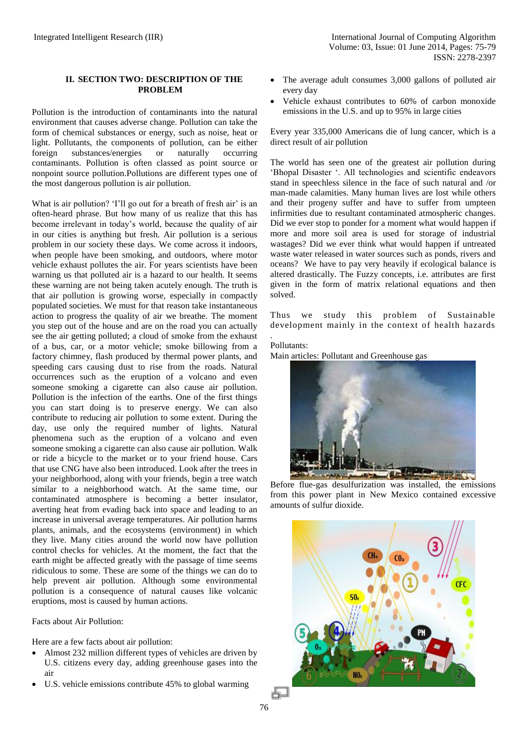## **II. SECTION TWO: DESCRIPTION OF THE PROBLEM**

Pollution is the introduction of contaminants into the natural environment that causes adverse change. Pollution can take the form of [chemical substances](http://en.wikipedia.org/wiki/Chemical_substance) or [energy,](http://en.wikipedia.org/wiki/Energy) such as noise, heat or light. [Pollutants,](http://en.wikipedia.org/wiki/Pollutant) the components of pollution, can be either foreign substances/energies or naturally occurring contaminants. Pollution is often classed as [point source](http://en.wikipedia.org/wiki/Point_source_pollution) or [nonpoint source pollution.P](http://en.wikipedia.org/wiki/Nonpoint_source_pollution)ollutions are different types one of the most dangerous pollution is air pollution.

What is air pollution? 'I'll go out for a breath of fresh air' is an often-heard phrase. But how many of us realize that this has become irrelevant in today's world, because the quality of air in our cities is anything but fresh. Air pollution is a serious problem in our society these days. We come across it indoors, when people have been smoking, and outdoors, where motor vehicle exhaust pollutes the air. For years scientists have been warning us that polluted air is a hazard to our health. It seems these warning are not being taken acutely enough. The truth is that air pollution is growing worse, especially in compactly populated societies. We must for that reason take instantaneous action to progress the quality of air we breathe. The moment you step out of the house and are on the road you can actually see the air getting polluted; a cloud of smoke from the exhaust of a bus, car, or a motor vehicle; smoke billowing from a factory chimney, flash produced by thermal power plants, and speeding cars causing dust to rise from the roads. Natural occurrences such as the eruption of a volcano and even someone smoking a cigarette can also cause air pollution. Pollution is the infection of the earths. One of the first things you can start doing is to preserve energy. We can also contribute to reducing air pollution to some extent. During the day, use only the required number of lights. Natural phenomena such as the eruption of a volcano and even someone smoking a cigarette can also cause air pollution. Walk or ride a bicycle to the market or to your friend house. Cars that use CNG have also been introduced. Look after the trees in your neighborhood, along with your friends, begin a tree watch similar to a neighborhood watch. At the same time, our contaminated atmosphere is becoming a better insulator, averting heat from evading back into space and leading to an increase in universal average temperatures. Air pollution harms plants, animals, and the ecosystems (environment) in which they live. Many cities around the world now have pollution control checks for vehicles. At the moment, the fact that the earth might be affected greatly with the passage of time seems ridiculous to some. These are some of the things we can do to help prevent air pollution. Although some environmental pollution is a consequence of natural causes like volcanic eruptions, most is caused by human actions.

Facts about Air Pollution:

Here are a few facts about air pollution:

- Almost 232 million different types of vehicles are driven by U.S. citizens every day, adding greenhouse gases into the air
- U.S. vehicle emissions contribute 45% to global warming
- The average adult consumes 3,000 gallons of polluted air every day
- Vehicle exhaust contributes to 60% of carbon monoxide emissions in the U.S. and up to 95% in large cities

Every year 335,000 Americans die of lung cancer, which is a direct result of air pollution

The world has seen one of the greatest air pollution during 'Bhopal Disaster '. All technologies and scientific endeavors stand in speechless silence in the face of such natural and /or man-made calamities. Many human lives are lost while others and their progeny suffer and have to suffer from umpteen infirmities due to resultant contaminated atmospheric changes. Did we ever stop to ponder for a moment what would happen if more and more soil area is used for storage of industrial wastages? Did we ever think what would happen if untreated waste water released in water sources such as ponds, rivers and oceans? We have to pay very heavily if ecological balance is altered drastically. The Fuzzy concepts, i.e. attributes are first given in the form of matrix relational equations and then solved.

Thus we study this problem of Sustainable development mainly in the context of health hazards

Pollutants: Main articles[: Pollutant](http://en.wikipedia.org/wiki/Pollutant) and [Greenhouse gas](http://en.wikipedia.org/wiki/Greenhouse_gas)



Before [flue-gas desulfurization](http://en.wikipedia.org/wiki/Flue-gas_desulfurization) was installed, the emissions from this power plant in [New Mexico](http://en.wikipedia.org/wiki/New_Mexico) contained excessive amounts of [sulfur dioxide.](http://en.wikipedia.org/wiki/Sulfur_dioxide)



.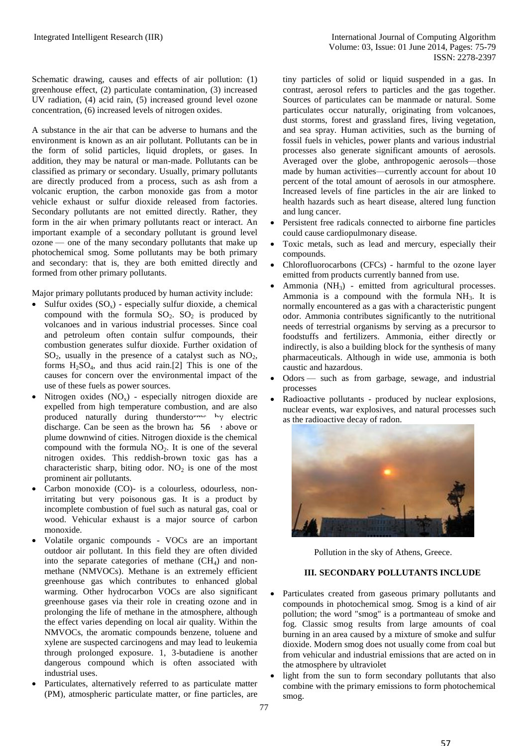Schematic drawing, causes and effects of air pollution: (1) greenhouse effect, (2) particulate contamination, (3) increased UV radiation, (4) acid rain, (5) increased ground level ozone concentration, (6) increased levels of nitrogen oxides.

A substance in the air that can be adverse to humans and the environment is known as an air pollutant. Pollutants can be in the form of solid particles, liquid droplets, or gases. In addition, they may be natural or man-made. Pollutants can be classified as primary or secondary. Usually, primary pollutants are directly produced from a process, such as ash from a volcanic eruption, the [carbon monoxide](http://en.wikipedia.org/wiki/Carbon_monoxide) gas from a motor vehicle exhaust or [sulfur dioxide](http://en.wikipedia.org/wiki/Sulfur_dioxide) released from factories. Secondary pollutants are not emitted directly. Rather, they form in the air when primary pollutants react or interact. An important example of a secondary pollutant is [ground level](http://en.wikipedia.org/wiki/Ground_level_ozone)  [ozone](http://en.wikipedia.org/wiki/Ground_level_ozone) — one of the many secondary pollutants that make up photochemical [smog.](http://en.wikipedia.org/wiki/Smog) Some pollutants may be both primary and secondary: that is, they are both emitted directly and formed from other primary pollutants.

Major primary pollutants produced by human activity include:

- [Sulfur oxides](http://en.wikipedia.org/wiki/Sulfur_oxide)  $(SO_x)$  especially sulfur dioxide, a chemical compound with the formula  $SO_2$ .  $SO_2$  is produced by volcanoes and in various industrial processes. Since coal and petroleum often contain sulfur compounds, their combustion generates sulfur dioxide. Further oxidation of  $SO<sub>2</sub>$ , usually in the presence of a catalyst such as  $NO<sub>2</sub>$ , forms  $H_2SO_4$ , and thus [acid rain.\[](http://en.wikipedia.org/wiki/Acid_rain)2] This is one of the causes for concern over the environmental impact of the use of these fuels as power sources.
- [Nitrogen oxides](http://en.wikipedia.org/wiki/Nitrogen_oxide)  $(NO<sub>x</sub>)$  especially [nitrogen dioxide](http://en.wikipedia.org/wiki/Nitrogen_dioxide) are expelled from high temperature combustion, and are also produced naturally during [thunderstorms](http://en.wikipedia.org/wiki/Thunderstorms) by [electric](http://en.wikipedia.org/wiki/Electric_discharge)  [discharge.](http://en.wikipedia.org/wiki/Electric_discharge) Can be seen as the brown haz  $56 \rightarrow above$  or [plume](http://en.wikipedia.org/wiki/Plume_%28hydrodynamics%29) downwind of cities. Nitrogen dioxide is the chemical plume downwind of clues. Nurogen dioxide is the chemical compound with the formula  $NO<sub>2</sub>$ . It is one of the several nitrogen oxides. This reddish-brown toxic gas has a characteristic sharp, biting odor.  $NO<sub>2</sub>$  is one of the most prominent air pollutants.
- [Carbon monoxide](http://en.wikipedia.org/wiki/Carbon_monoxide) (CO)- is a colourless, odourless, nonirritating but very poisonous gas. It is a product by [incomplete combustion](http://en.wikipedia.org/wiki/Incomplete_combustion) of fuel such as natural gas, coal or wood. Vehicular exhaust is a major source of carbon monoxide.
- [Volatile organic compounds](http://en.wikipedia.org/wiki/Volatile_organic_compounds) VOCs are an important outdoor air pollutant. In this field they are often divided into the separate categories of methane  $(CH<sub>4</sub>)$  and nonmethane (NMVOCs). Methane is an extremely efficient greenhouse gas which contributes to enhanced [global](http://en.wikipedia.org/wiki/Global_warming)  [warming.](http://en.wikipedia.org/wiki/Global_warming) Other hydrocarbon VOCs are also significant greenhouse gases via their role in creating ozone and in prolonging the life of methane in the atmosphere, although the effect varies depending on local air quality. Within the NMVOCs, the aromatic compounds benzene, toluene and xylene are suspected carcinogens and may lead to leukemia through prolonged exposure. 1, 3-butadiene is another dangerous compound which is often associated with industrial uses.
- [Particulates,](http://en.wikipedia.org/wiki/Particulates) alternatively referred to as particulate matter (PM), atmospheric particulate matter, or fine particles, are

tiny particles of solid or liquid suspended in a gas. In contrast, aerosol refers to particles and the gas together. Sources of particulates can be manmade or natural. Some particulates occur naturally, originating from volcanoes, dust storms, forest and grassland fires, living vegetation, and sea spray. Human activities, such as the burning of fossil fuels in vehicles, power plants and various industrial processes also generate significant amounts of aerosols. Averaged over the globe, anthropogenic aerosols—those made by human activities—currently account for about 10 percent of the total amount of aerosols in our atmosphere. Increased levels of fine particles in the air are linked to health hazards such as heart disease, altered lung function and lung cancer.

- [Persistent free radicals](http://en.wikipedia.org/wiki/Radical_%28chemistry%29#Persistent_radicals) connected to airborne fine particles could cause cardiopulmonary disease.
- Toxic [metals,](http://en.wikipedia.org/wiki/Metal) such as [lead](http://en.wikipedia.org/wiki/Lead) and [mercury,](http://en.wikipedia.org/wiki/Mercury_%28element%29) especially their compounds.
- [Chlorofluorocarbons](http://en.wikipedia.org/wiki/Chlorofluorocarbons) (CFCs) harmful to the [ozone layer](http://en.wikipedia.org/wiki/Ozone_layer) emitted from products currently banned from use.
- [Ammonia](http://en.wikipedia.org/wiki/Ammonia)  $(NH_3)$  emitted from agricultural processes. Ammonia is a compound with the formula  $NH<sub>3</sub>$ . It is normally encountered as a gas with a characteristic pungent odor. Ammonia contributes significantly to the nutritional needs of terrestrial organisms by serving as a precursor to foodstuffs and fertilizers. Ammonia, either directly or indirectly, is also a building block for the synthesis of many pharmaceuticals. Although in wide use, ammonia is both caustic and hazardous.
- [Odors](http://en.wikipedia.org/wiki/Odor) such as from garbage, sewage, and industrial processes
- [Radioactive pollutants](http://en.wikipedia.org/wiki/Radioactive_pollutants) produced by [nuclear explosions,](http://en.wikipedia.org/wiki/Nuclear_explosions) nuclear events, war [explosives,](http://en.wikipedia.org/wiki/Explosives) and natural processes such as the [radioactive decay](http://en.wikipedia.org/wiki/Radioactive_decay) of [radon.](http://en.wikipedia.org/wiki/Radon)



Pollution in the sky o[f Athens,](http://en.wikipedia.org/wiki/Athens) [Greece.](http://en.wikipedia.org/wiki/Greece)

## **III. SECONDARY POLLUTANTS INCLUDE**

- Particulates created from gaseous primary pollutants and compounds in photochemical smog. [Smog](http://en.wikipedia.org/wiki/Smog) is a kind of air pollution; the word "smog" is a portmanteau of smoke and fog. Classic smog results from large amounts of coal burning in an area caused by a mixture of smoke and sulfur dioxide. Modern smog does not usually come from coal but from vehicular and industrial emissions that are acted on in the atmosphere by [ultraviolet](http://en.wikipedia.org/wiki/Ultraviolet)
- light from the sun to form secondary pollutants that also combine with the primary emissions to form photochemical smog.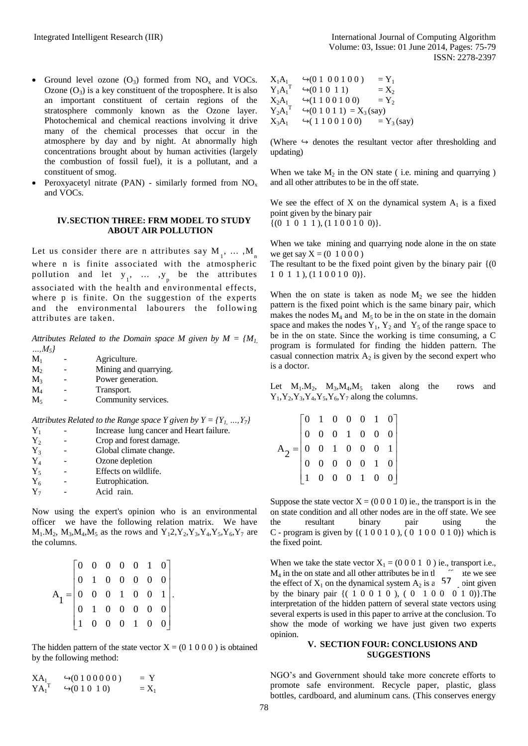- [Ground level ozone](http://en.wikipedia.org/wiki/Ground_level_ozone)  $(O_3)$  formed from  $NO_x$  and VOCs. Ozone  $(O_3)$  is a key constituent of the troposphere. It is also an important constituent of certain regions of the stratosphere commonly known as the Ozone layer. Photochemical and chemical reactions involving it drive many of the chemical processes that occur in the atmosphere by day and by night. At abnormally high concentrations brought about by human activities (largely the combustion of fossil fuel), it is a pollutant, and a constituent of smog.
- [Peroxyacetyl nitrate](http://en.wikipedia.org/wiki/Peroxyacetyl_nitrate) (PAN) similarly formed from  $NO<sub>x</sub>$ and VOCs.

### **IV.SECTION THREE: FRM MODEL TO STUDY ABOUT AIR POLLUTION**

Let us consider there are n attributes say  $M_1, \ldots, M_n$ where n is finite associated with the atmospheric pollution and let  $y_1$ , ...,  $y_p$  be the attributes associated with the health and environmental effects, where p is finite. On the suggestion of the experts and the environmental labourers the following attributes are taken.

*Attributes Related to the Domain space M given by M = {M1, …,M5}*

| $M_1$          |   | Agriculture.          |
|----------------|---|-----------------------|
| $M_{2}$        | ۳ | Mining and quarrying. |
| $M_{3}$        |   | Power generation.     |
| $\mathbf{M}_4$ |   | Transport.            |
| $M_{5}$        |   | Community services.   |
|                |   |                       |

*Attributes Related to the Range space Y given by*  $Y = \{Y_1, ..., Y_7\}$ 

| $Y_1$      | Increase lung cancer and Heart failure. |
|------------|-----------------------------------------|
| $Y_{2}$    | Crop and forest damage.                 |
| $Y_3$      | Global climate change.                  |
| $Y_4$      | Ozone depletion                         |
| $Y_5$      | Effects on wildlife.                    |
| $Y_6$      | Eutrophication.                         |
| $Y_{\tau}$ | Acid rain.                              |
|            |                                         |

Now using the expert's opinion who is an environmental officer we have the following relation matrix. We have  $M_1.M_2$ ,  $M_3,M_4,M_5$  as the rows and  $Y_12, Y_2, Y_3, Y_4, Y_5, Y_6, Y_7$  are the columns.

$$
A_1 = \begin{bmatrix} 0 & 0 & 0 & 0 & 0 & 1 & 0 \\ 0 & 1 & 0 & 0 & 0 & 0 & 0 \\ 0 & 0 & 0 & 1 & 0 & 0 & 1 \\ 0 & 1 & 0 & 0 & 0 & 0 & 0 \\ 1 & 0 & 0 & 0 & 1 & 0 & 0 \end{bmatrix}.
$$

The hidden pattern of the state vector  $X = (0 1 0 0 0)$  is obtained by the following method:

$$
\begin{array}{ccc}\nXA_1 & \leftrightarrow (0\ 1\ 0\ 0\ 0\ 0\ 0) & = Y \\
YA_1^T & \leftrightarrow (0\ 1\ 0\ 1\ 0) & = X_1\n\end{array}
$$

| $X_1A_1$   | $\leftrightarrow$ (0100100)         | $= Y_1$       |
|------------|-------------------------------------|---------------|
| $Y_1A_1^T$ | $\leftrightarrow$ (01011)           | $=X_{2}$      |
| $X_2A_1$   | $\leftrightarrow$ (1100100)         | $= Y_2$       |
| $Y_2A_1^T$ | $\Theta(0\ 1\ 0\ 1\ 1) = X_3$ (say) |               |
| $X_3A_1$   | $\leftrightarrow$ (1100100)         | $= Y_3$ (say) |

(Where  $\leftrightarrow$  denotes the resultant vector after thresholding and updating)

When we take  $M_2$  in the ON state (i.e. mining and quarrying) and all other attributes to be in the off state.

We see the effect of X on the dynamical system  $A_1$  is a fixed point given by the binary pair  $\{(0\ 1\ 0\ 1\ 1), (1\ 1\ 0\ 0\ 1\ 0\ 0)\}.$ 

When we take mining and quarrying node alone in the on state we get say  $X = (0, 1, 0, 0, 0)$ 

The resultant to be the fixed point given by the binary pair  $(0)$  $1 \t0 \t1 \t1), (1 \t1 \t0 \t0 \t1 \t0 \t0).$ 

When the on state is taken as node  $M_2$  we see the hidden pattern is the fixed point which is the same binary pair, which makes the nodes  $M_4$  and  $M_5$  to be in the on state in the domain space and makes the nodes  $Y_1$ ,  $Y_2$  and  $Y_5$  of the range space to be in the on state. Since the working is time consuming, a C program is formulated for finding the hidden pattern. The casual connection matrix  $A_2$  is given by the second expert who is a doctor.

Let  $M_1.M_2$ ,  $M_3.M_4.M_5$  taken along the rows and  $Y_1, Y_2, Y_3, Y_4, Y_5, Y_6, Y_7$  along the columns.

| $\mathbf{A}_2 = \begin{bmatrix} 0 & 1 & 0 & 0 & 0 & 1 & 0 \\ 0 & 0 & 0 & 1 & 0 & 0 & 0 \\ 0 & 0 & 1 & 0 & 0 & 0 & 1 \\ 0 & 0 & 0 & 0 & 0 & 1 & 0 \\ 1 & 0 & 0 & 0 & 1 & 0 & 0 \end{bmatrix}$ |  |  |  |  |
|----------------------------------------------------------------------------------------------------------------------------------------------------------------------------------------------|--|--|--|--|

Suppose the state vector  $X = (0\ 0\ 0\ 1\ 0)$  ie., the transport is in the on state condition and all other nodes are in the off state. We see the resultant binary pair using the C - program is given by { $(10010)$ ,  $(0100010)$ } which is the fixed point.

When we take the state vector  $X_1 = (0\ 0\ 0\ 1\ 0)$  ie., transport i.e.,  $M_4$  in the on state and all other attributes be in the  $\sum_{n=1}^{\infty}$  ate we see the effect of  $X_1$  on the dynamical system  $A_2$  is a  $57$  oint given by the binary pair {( 1 0 0 1 0 ), ( 0 1 0 0 0 1 0)}. The interpretation of the hidden pattern of several state vectors using several experts is used in this paper to arrive at the conclusion. To show the mode of working we have just given two experts opinion.

### **V. SECTION FOUR: CONCLUSIONS AND SUGGESTIONS**

NGO's and Government should take more concrete efforts to promote safe environment. Recycle paper, plastic, glass bottles, cardboard, and aluminum cans. (This conserves energy